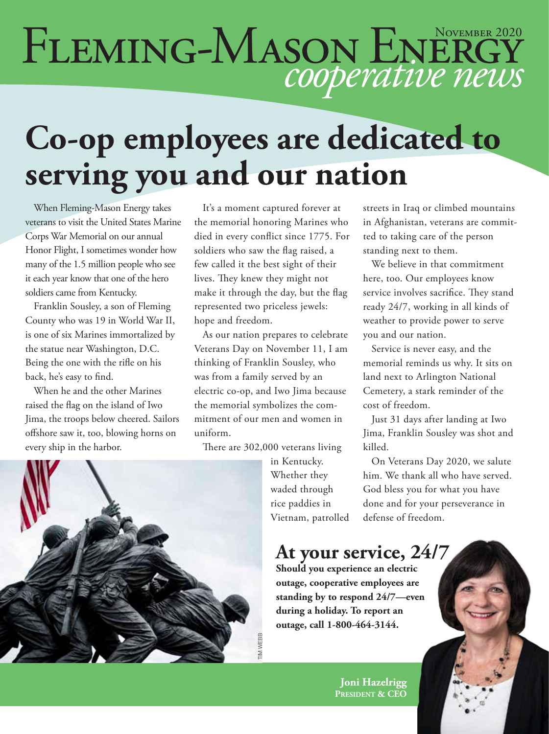# FLEMING-MASON ENERGY

## **Co-op employees are dedicated to serving you and our nation**

When Fleming-Mason Energy takes veterans to visit the United States Marine Corps War Memorial on our annual Honor Flight, I sometimes wonder how many of the 1.5 million people who see it each year know that one of the hero soldiers came from Kentucky.

Franklin Sousley, a son of Fleming County who was 19 in World War II, is one of six Marines immortalized by the statue near Washington, D.C. Being the one with the rifle on his back, he's easy to find.

When he and the other Marines raised the flag on the island of Iwo Jima, the troops below cheered. Sailors offshore saw it, too, blowing horns on every ship in the harbor.

It's a moment captured forever at the memorial honoring Marines who died in every conflict since 1775. For soldiers who saw the flag raised, a few called it the best sight of their lives. They knew they might not make it through the day, but the flag represented two priceless jewels: hope and freedom.

As our nation prepares to celebrate Veterans Day on November 11, I am thinking of Franklin Sousley, who was from a family served by an electric co-op, and Iwo Jima because the memorial symbolizes the commitment of our men and women in uniform.

There are 302,000 veterans living

in Kentucky. Whether they waded through rice paddies in Vietnam, patrolled streets in Iraq or climbed mountains in Afghanistan, veterans are committed to taking care of the person standing next to them.

We believe in that commitment here, too. Our employees know service involves sacrifice. They stand ready 24/7, working in all kinds of weather to provide power to serve you and our nation.

Service is never easy, and the memorial reminds us why. It sits on land next to Arlington National Cemetery, a stark reminder of the cost of freedom.

Just 31 days after landing at Iwo Jima, Franklin Sousley was shot and killed.

On Veterans Day 2020, we salute him. We thank all who have served. God bless you for what you have done and for your perseverance in defense of freedom.

#### **At your service, 24/7**

**Should you experience an electric outage, cooperative employees are standing by to respond 24/7—even during a holiday. To report an outage, call 1-800-464-3144.**

> **Joni Hazelrigg President & CEO**

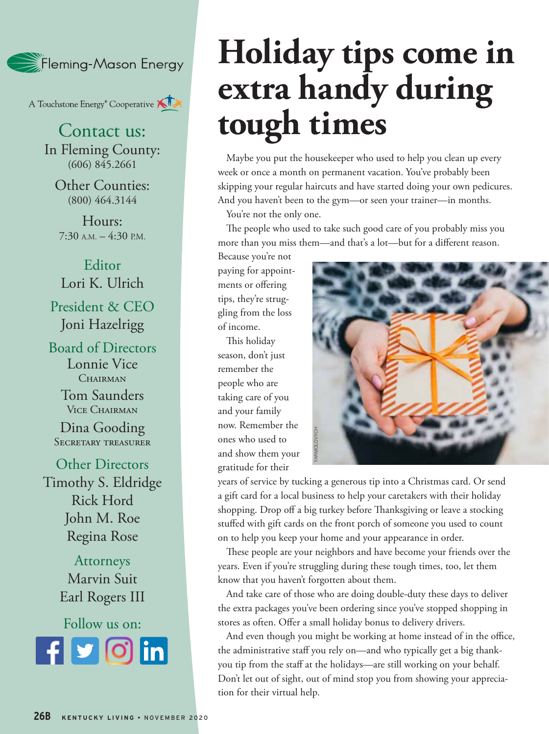

A Touchstone Energy<sup>®</sup> Cooperative

Contact us: In Fleming County:  $(606)$  845.2661

Other Counties: (800) 464.3144

Hours:  $7:30$  A.M.  $-4:30$  P.M.

Editor Lori K. Ulrich President & CEO Joni Hazelrigg

Board of Directors Lonnie Vice CHAIRMAN

> Tom Saunders Vice Chairman

Dina Gooding Secretary treasurer

Other Directors Timothy S. Eldridge Rick Hord John M. Roe Regina Rose

> Attorneys Marvin Suit Earl Rogers III

Follow us on: **Rounded square** Only use blue and/or white. For more details check out our Brand Guidelines.

## **Holiday tips come in extra handy during tough times**

Maybe you put the housekeeper who used to help you clean up every week or once a month on permanent vacation. You've probably been skipping your regular haircuts and have started doing your own pedicures. And you haven't been to the gym—or seen your trainer—in months.

You're not the only one.

The people who used to take such good care of you probably miss you more than you miss them—and that's a lot—but for a different reason.

Because you're not paying for appointments or offering tips, they're struggling from the loss of income.

This holiday season, don't just remember the people who are taking care of you and your family now. Remember the ones who used to and show them your gratitude for their



years of service by tucking a generous tip into a Christmas card. Or send a gift card for a local business to help your caretakers with their holiday shopping. Drop off a big turkey before Thanksgiving or leave a stocking stuffed with gift cards on the front porch of someone you used to count on to help you keep your home and your appearance in order.

These people are your neighbors and have become your friends over the years. Even if you're struggling during these tough times, too, let them know that you haven't forgotten about them.

And take care of those who are doing double-duty these days to deliver the extra packages you've been ordering since you've stopped shopping in stores as often. Offer a small holiday bonus to delivery drivers.

And even though you might be working at home instead of in the office, the administrative staff you rely on—and who typically get a big thankyou tip from the staff at the holidays—are still working on your behalf. Don't let out of sight, out of mind stop you from showing your appreciation for their virtual help.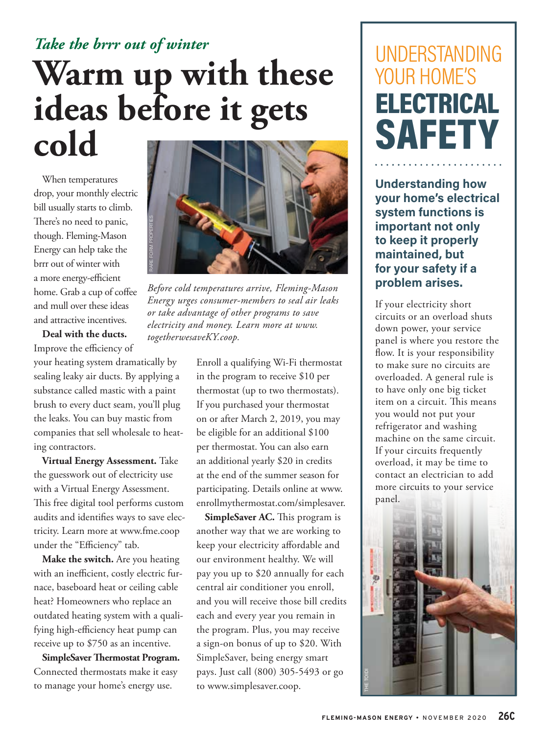### *Take the brrr out of winter* **Warm up with these ideas before it gets cold**

When temperatures drop, your monthly electric bill usually starts to climb. There's no need to panic, though. Fleming-Mason Energy can help take the brrr out of winter with a more energy-efficient home. Grab a cup of coffee and mull over these ideas and attractive incentives.

**Deal with the ducts.** 

Improve the efficiency of your heating system dramatically by sealing leaky air ducts. By applying a substance called mastic with a paint brush to every duct seam, you'll plug the leaks. You can buy mastic from companies that sell wholesale to heating contractors.

**Virtual Energy Assessment.** Take the guesswork out of electricity use with a Virtual Energy Assessment. This free digital tool performs custom audits and identifies ways to save electricity. Learn more at www.fme.coop under the "Efficiency" tab.

**Make the switch.** Are you heating with an inefficient, costly electric furnace, baseboard heat or ceiling cable heat? Homeowners who replace an outdated heating system with a qualifying high-efficiency heat pump can receive up to \$750 as an incentive.

**SimpleSaver Thermostat Program.**  Connected thermostats make it easy to manage your home's energy use.



*Energy urges consumer-members to seal air leaks or take advantage of other programs to save electricity and money. Learn more at www. togetherwesaveKY.coop.*

Enroll a qualifying Wi-Fi thermostat in the program to receive \$10 per thermostat (up to two thermostats). If you purchased your thermostat on or after March 2, 2019, you may be eligible for an additional \$100 per thermostat. You can also earn an additional yearly \$20 in credits at the end of the summer season for participating. Details online at www. enrollmythermostat.com/simplesaver.

**SimpleSaver AC.** This program is another way that we are working to keep your electricity affordable and our environment healthy. We will pay you up to \$20 annually for each central air conditioner you enroll, and you will receive those bill credits each and every year you remain in the program. Plus, you may receive a sign-on bonus of up to \$20. With SimpleSaver, being energy smart pays. Just call (800) 305-5493 or go to www.simplesaver.coop.

### UNDERSTANDING YOUR HOME'S ELECTRICAL **SAFETY**

**Understanding how your home's electrical system functions is important not only to keep it properly maintained, but for your safety if a problem arises.**

If your electricity short circuits or an overload shuts down power, your service panel is where you restore the flow. It is your responsibility to make sure no circuits are overloaded. A general rule is to have only one big ticket item on a circuit. This means you would not put your refrigerator and washing machine on the same circuit. If your circuits frequently overload, it may be time to contact an electrician to add more circuits to your service panel.